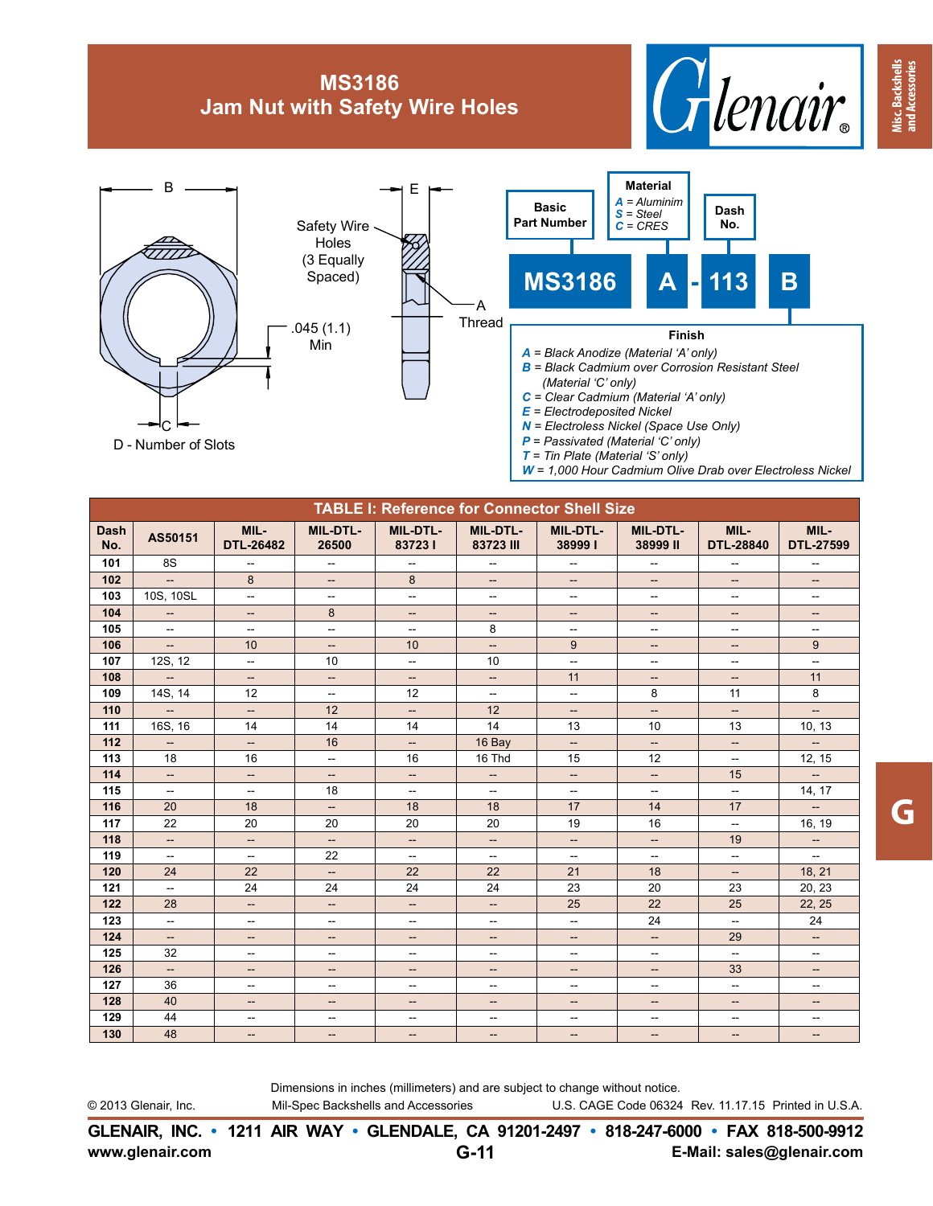## **MS3186 Jam Nut with Safety Wire Holes**





| <b>TABLE I: Reference for Connector Shell Size</b> |                          |                                   |                          |                           |                              |                           |                                    |                           |                                    |  |  |
|----------------------------------------------------|--------------------------|-----------------------------------|--------------------------|---------------------------|------------------------------|---------------------------|------------------------------------|---------------------------|------------------------------------|--|--|
| <b>Dash</b><br>No.                                 | AS50151                  | MIL-<br><b>DTL-26482</b>          | <b>MIL-DTL-</b><br>26500 | <b>MIL-DTL-</b><br>837231 | <b>MIL-DTL-</b><br>83723 III | <b>MIL-DTL-</b><br>389991 | <b>MIL-DTL-</b><br>38999 II        | MIL-<br><b>DTL-28840</b>  | MIL-<br><b>DTL-27599</b>           |  |  |
| 101                                                | 8S                       | $\overline{\phantom{a}}$          | $\overline{\phantom{a}}$ | Ξ.                        | $\overline{\phantom{a}}$     | $\overline{\phantom{a}}$  | $\overline{\phantom{a}}$           | $\overline{\phantom{a}}$  | $\hspace{0.05cm} -\hspace{0.05cm}$ |  |  |
| 102                                                | $\overline{\phantom{a}}$ | 8                                 | $\overline{\phantom{a}}$ | 8                         | $\overline{\phantom{a}}$     | $\overline{\phantom{a}}$  | $\overline{\phantom{a}}$           | $\overline{\phantom{a}}$  | $\overline{\phantom{a}}$           |  |  |
| 103                                                | 10S, 10SL                | $\overline{\phantom{a}}$          | Щ,                       | Щ.                        | $\overline{\phantom{a}}$     | $\overline{\phantom{a}}$  | Щ,                                 | $\overline{\phantom{a}}$  | $\overline{\phantom{a}}$           |  |  |
| 104                                                | $\qquad \qquad -$        | $\overline{\phantom{a}}$          | 8                        | --                        | $\overline{\phantom{a}}$     | --                        | $\qquad \qquad -$                  | $\overline{\phantom{a}}$  | $-\!$                              |  |  |
| 105                                                | $\overline{a}$           | $\overline{\phantom{a}}$          | $\overline{\phantom{a}}$ | ÷.                        | 8                            | $\overline{\phantom{a}}$  | $\overline{\phantom{a}}$           | $\overline{\phantom{a}}$  | $\overline{\phantom{a}}$           |  |  |
| 106                                                | $\equiv$                 | 10                                | $\overline{\phantom{a}}$ | 10                        | $\overline{\phantom{a}}$     | 9                         | --                                 | $\overline{\phantom{a}}$  | 9                                  |  |  |
| 107                                                | 12S, 12                  | $\overline{\phantom{a}}$          | 10                       | $\frac{1}{2}$             | 10                           | $\overline{\phantom{a}}$  | $\overline{\phantom{a}}$           | $\overline{\phantom{a}}$  | $\overline{\phantom{a}}$           |  |  |
| 108                                                | $\overline{\phantom{a}}$ | $\overline{\phantom{a}}$          | $\overline{\phantom{a}}$ | $\qquad \qquad -$         | $\overline{\phantom{a}}$     | 11                        | $\overline{\phantom{a}}$           | $\overline{\phantom{a}}$  | 11                                 |  |  |
| 109                                                | 14S, 14                  | 12                                | $\overline{\phantom{a}}$ | 12                        | $\overline{\phantom{a}}$     | --                        | 8                                  | 11                        | 8                                  |  |  |
| 110                                                | $\overline{\phantom{a}}$ | $\overline{\phantom{a}}$          | 12                       | $\overline{\phantom{a}}$  | 12                           | $\overline{\phantom{a}}$  | $\overline{\phantom{a}}$           | $\overline{\phantom{a}}$  | $\overline{\phantom{a}}$           |  |  |
| 111                                                | 16S, 16                  | 14                                | 14                       | 14                        | 14                           | 13                        | 10                                 | 13                        | 10, 13                             |  |  |
| 112                                                | $\qquad \qquad -$        | $\overline{\phantom{a}}$          | 16                       | $\overline{\phantom{a}}$  | 16 Bay                       | $\overline{\phantom{a}}$  | $\hspace{0.05cm} -\hspace{0.05cm}$ | $\overline{\phantom{m}}$  | $\overline{\phantom{a}}$           |  |  |
| 113                                                | 18                       | 16                                | $\frac{1}{2}$            | 16                        | 16 Thd                       | 15                        | 12                                 | $\overline{\phantom{a}}$  | 12, 15                             |  |  |
| 114                                                | <b></b>                  | $\overline{\phantom{a}}$          | --                       | $\overline{\phantom{a}}$  | $\overline{\phantom{a}}$     | --                        | $\overline{\phantom{a}}$           | 15                        | ÷.                                 |  |  |
| 115                                                | $\mathbf{u}$             | $\overline{\phantom{a}}$          | 18                       | Ξ.                        | $\overline{\phantom{a}}$     | $\overline{\phantom{a}}$  | $\overline{a}$                     | $\overline{\phantom{a}}$  | 14, 17                             |  |  |
| 116                                                | 20                       | 18                                | $\qquad \qquad -$        | 18                        | 18                           | 17                        | 14                                 | 17                        |                                    |  |  |
| 117                                                | 22                       | 20                                | 20                       | 20                        | 20                           | 19                        | 16                                 | $\overline{\phantom{a}}$  | 16, 19                             |  |  |
| 118                                                | $\overline{\phantom{a}}$ | $\overline{\phantom{a}}$          | $\qquad \qquad -$        | $\overline{\phantom{a}}$  | $\overline{\phantom{a}}$     | $\overline{\phantom{a}}$  | $\qquad \qquad -$                  | 19                        | $\overline{\phantom{a}}$           |  |  |
| 119                                                | $\overline{a}$           | $\overline{\phantom{a}}$          | 22                       | Ξ.                        | $\overline{\phantom{a}}$     | $\overline{\phantom{m}}$  | $\overline{\phantom{a}}$           | $\overline{\phantom{a}}$  | $\overline{\phantom{a}}$           |  |  |
| 120                                                | 24                       | 22                                | $\overline{\phantom{a}}$ | 22                        | 22                           | 21                        | 18                                 | $\overline{\phantom{a}}$  | 18.21                              |  |  |
| 121                                                | u.                       | 24                                | 24                       | 24                        | 24                           | 23                        | 20                                 | 23                        | 20, 23                             |  |  |
| 122                                                | 28                       | $\hspace{0.05cm} \dashrightarrow$ | $\overline{\phantom{a}}$ | $\overline{\phantom{a}}$  | $\overline{\phantom{a}}$     | 25                        | 22                                 | 25                        | 22, 25                             |  |  |
| 123                                                | --                       | $\overline{\phantom{a}}$          | --                       | --                        | $\overline{\phantom{a}}$     | --                        | 24                                 | $\mathbf{u}$              | 24                                 |  |  |
| 124                                                | $-\!$                    | $\hspace{0.05cm} \dashrightarrow$ | --                       | --                        | $\overline{\phantom{a}}$     | --                        | $\overline{\phantom{a}}$           | 29                        | $\hspace{0.05cm} -\hspace{0.05cm}$ |  |  |
| 125                                                | 32                       | $\mathbf{u}$                      | $\overline{a}$           | $\overline{a}$            | $\sim$                       | $\overline{a}$            | $\sim$                             | $\mathbb{Z}^{\mathbb{Z}}$ | $\overline{a}$                     |  |  |
| 126                                                | ш.,                      | $\qquad \qquad -$                 | --                       | --                        | $\qquad \qquad -$            | --                        | $\qquad \qquad -$                  | 33                        | $\qquad \qquad -$                  |  |  |
| 127                                                | 36                       | $\overline{\phantom{a}}$          | --                       | --                        | $\overline{\phantom{a}}$     | --                        | $\overline{\phantom{a}}$           | $\mathbf{u}$              | --                                 |  |  |
| 128                                                | 40                       | $\overline{\phantom{a}}$          | --                       | --                        | $\overline{\phantom{a}}$     | --                        | $\overline{\phantom{a}}$           | $\overline{\phantom{a}}$  | $\overline{\phantom{a}}$           |  |  |
| 129                                                | 44                       | $\mathbf{u}$                      | --                       | $\qquad \qquad -$         | $\overline{\phantom{a}}$     | --                        | $\overline{\phantom{a}}$           | $\overline{\phantom{a}}$  | $\qquad \qquad -$                  |  |  |
| 130                                                | 48                       | $\overline{\phantom{a}}$          | $-$                      | --                        | $--$                         | $- -$                     | $\overline{\phantom{m}}$           | $-$                       | $--$                               |  |  |

Dimensions in inches (millimeters) and are subject to change without notice.

© 2013 Glenair, Inc. Casa Mil-Spec Backshells and Accessories Come U.S. CAGE Code 06324 Rev. 11.17.15 Printed in U.S.A.

**Misc. Backshells and Accessories**

**Misc. Backshells**<br>and Accessories